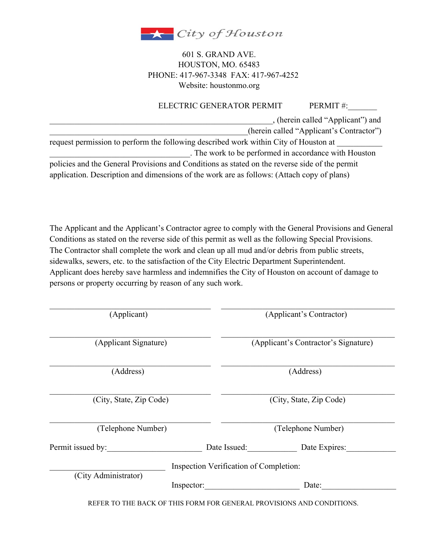

## 601 S. GRAND AVE. HOUSTON, MO. 65483 PHONE: 417-967-3348 FAX: 417-967-4252 Website: houstonmo.org

## ELECTRIC GENERATOR PERMIT PERMIT #:

\_\_\_\_\_\_\_\_\_\_\_\_\_\_\_\_\_\_\_\_\_\_\_\_\_\_\_\_\_\_\_\_\_\_\_\_\_\_\_\_\_\_\_\_\_\_\_\_\_\_\_\_\_\_, (herein called "Applicant") and (herein called "Applicant's Contractor")

request permission to perform the following described work within City of Houston at \_\_\_\_\_\_\_\_\_\_\_\_\_\_\_\_\_\_\_\_\_\_\_\_\_\_\_\_\_\_\_\_\_\_. The work to be performed in accordance with Houston

policies and the General Provisions and Conditions as stated on the reverse side of the permit application. Description and dimensions of the work are as follows: (Attach copy of plans)

The Applicant and the Applicant's Contractor agree to comply with the General Provisions and General Conditions as stated on the reverse side of this permit as well as the following Special Provisions. The Contractor shall complete the work and clean up all mud and/or debris from public streets, sidewalks, sewers, etc. to the satisfaction of the City Electric Department Superintendent. Applicant does hereby save harmless and indemnifies the City of Houston on account of damage to persons or property occurring by reason of any such work.

| (Applicant)             |                                        | (Applicant's Contractor)             |                                                                       |
|-------------------------|----------------------------------------|--------------------------------------|-----------------------------------------------------------------------|
| (Applicant Signature)   |                                        | (Applicant's Contractor's Signature) |                                                                       |
| (Address)               |                                        | (Address)                            |                                                                       |
| (City, State, Zip Code) |                                        | (City, State, Zip Code)              |                                                                       |
| (Telephone Number)      |                                        | (Telephone Number)                   |                                                                       |
| Permit issued by:       |                                        | Date Issued:                         | Date Expires:                                                         |
| (City Administrator)    | Inspection Verification of Completion: |                                      |                                                                       |
|                         | Inspector:                             |                                      | Date:                                                                 |
|                         |                                        |                                      | REFER TO THE BACK OF THIS FORM FOR GENERAL PROVISIONS AND CONDITIONS. |